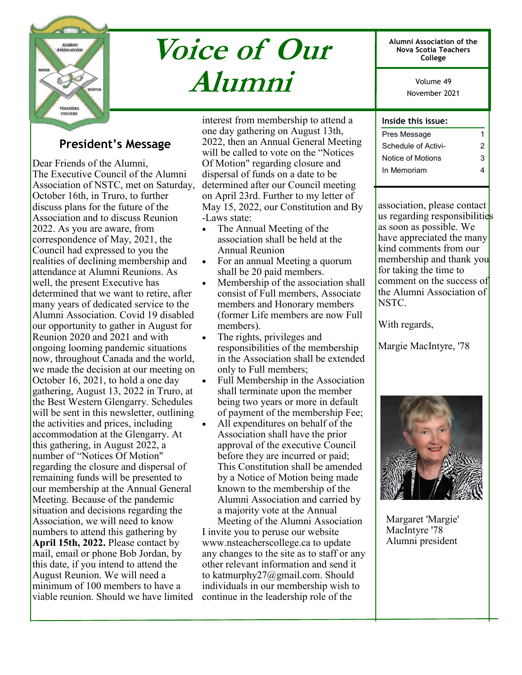

# **Voice of Our Alumni**

**Alumni Association of the Nova Scotia Teachers College**

> November 2021 Volume 49

## **Inside this issue:**

| <b>President's Message</b> |  |
|----------------------------|--|
|----------------------------|--|

Dear Friends of the Alumni, The Executive Council of the Alumni Association of NSTC, met on Saturday, October 16th, in Truro, to further discuss plans for the future of the Association and to discuss Reunion 2022. As you are aware, from correspondence of May, 2021, the Council had expressed to you the realities of declining membership and attendance at Alumni Reunions. As well, the present Executive has determined that we want to retire, after many years of dedicated service to the Alumni Association. Covid 19 disabled our opportunity to gather in August for Reunion 2020 and 2021 and with ongoing looming pandemic situations now, throughout Canada and the world, we made the decision at our meeting on October 16, 2021, to hold a one day gathering, August 13, 2022 in Truro, at the Best Western Glengarry. Schedules will be sent in this newsletter, outlining the activities and prices, including accommodation at the Glengarry. At this gathering, in August 2022, a number of "Notices Of Motion" regarding the closure and dispersal of remaining funds will be presented to our membership at the Annual General Meeting. Because of the pandemic situation and decisions regarding the Association, we will need to know numbers to attend this gathering by **April 15th, 2022.** Please contact by mail, email or phone Bob Jordan, by this date, if you intend to attend the August Reunion. We will need a minimum of 100 members to have a viable reunion. Should we have limited

interest from membership to attend a one day gathering on August 13th, 2022, then an Annual General Meeting will be called to vote on the "Notices Of Motion" regarding closure and dispersal of funds on a date to be determined after our Council meeting on April 23rd. Further to my letter of May 15, 2022, our Constitution and By -Laws state:

- The Annual Meeting of the association shall be held at the Annual Reunion
- For an annual Meeting a quorum shall be 20 paid members.
- Membership of the association shall consist of Full members, Associate members and Honorary members (former Life members are now Full members).
- The rights, privileges and responsibilities of the membership in the Association shall be extended only to Full members;
- Full Membership in the Association shall terminate upon the member being two years or more in default of payment of the membership Fee;
- All expenditures on behalf of the Association shall have the prior approval of the executive Council before they are incurred or paid; This Constitution shall be amended by a Notice of Motion being made known to the membership of the Alumni Association and carried by a majority vote at the Annual

Meeting of the Alumni Association I invite you to peruse our website www.nsteacherscollege.ca to update any changes to the site as to staff or any other relevant information and send it to katmurphy27@gmail.com. Should individuals in our membership wish to continue in the leadership role of the

| שפכו כוווא שוכווו.  |   |
|---------------------|---|
| Pres Message        |   |
| Schedule of Activi- | 2 |
| Notice of Motions   | 3 |
| In Memoriam         |   |
|                     |   |

association, please contact us regarding responsibilities as soon as possible. We have appreciated the many kind comments from our membership and thank you for taking the time to comment on the success of the Alumni Association of NSTC.

With regards,

Margie MacIntyre, '78



Margaret 'Margie' MacIntyre '78 Alumni president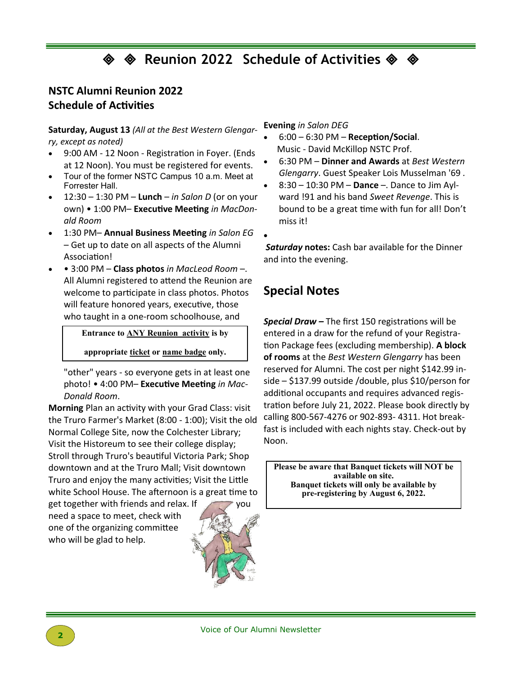**Example 3022** Schedule of Activities ♦

•

## **NSTC Alumni Reunion 2022 Schedule of Activities**

**Saturday, August 13** *(All at the Best Western Glengarry, except as noted)* 

- 9:00 AM 12 Noon Registration in Foyer. (Ends at 12 Noon). You must be registered for events.
- Tour of the former NSTC Campus 10 a.m. Meet at Forrester Hall.
- 12:30 1:30 PM **Lunch**  *in Salon D* (or on your own) • 1:00 PM– **Executive Meeting** *in MacDonald Room*
- 1:30 PM– **Annual Business Meeting** *in Salon EG*  – Get up to date on all aspects of the Alumni Association!
- • 3:00 PM **Class photos** *in MacLeod Room* –. All Alumni registered to attend the Reunion are welcome to participate in class photos. Photos will feature honored years, executive, those who taught in a one-room schoolhouse, and

**Entrance to ANY Reunion activity is by** 

**appropriate ticket or name badge only.**

"other" years - so everyone gets in at least one photo! • 4:00 PM– **Executive Meeting** *in Mac-Donald Room*.

**Morning** Plan an activity with your Grad Class: visit the Truro Farmer's Market (8:00 - 1:00); Visit the old Normal College Site, now the Colchester Library; Visit the Historeum to see their college display; Stroll through Truro's beautiful Victoria Park; Shop downtown and at the Truro Mall; Visit downtown Truro and enjoy the many activities; Visit the Little white School House. The afternoon is a great time to

get together with friends and relax. If  $\sim$  you need a space to meet, check with one of the organizing committee who will be glad to help.



**Evening** *in Salon DEG* 

- 6:00 6:30 PM **Reception/Social**. Music - David McKillop NSTC Prof.
- 6:30 PM **Dinner and Awards** at *Best Western Glengarry*. Guest Speaker Lois Musselman '69 *.*
- 8:30 10:30 PM **Dance** –. Dance to Jim Aylward !91 and his band *Sweet Revenge*. This is bound to be a great time with fun for all! Don't miss it!

*Saturday* **notes:** Cash bar available for the Dinner and into the evening.

# **Special Notes**

*Special Draw –* The first 150 registrations will be entered in a draw for the refund of your Registration Package fees (excluding membership). **A block of rooms** at the *Best Western Glengarry* has been reserved for Alumni. The cost per night \$142.99 inside – \$137.99 outside /double, plus \$10/person for additional occupants and requires advanced registration before July 21, 2022. Please book directly by calling 800-567-4276 or 902-893- 4311. Hot breakfast is included with each nights stay. Check-out by Noon.

**Please be aware that Banquet tickets will NOT be available on site. Banquet tickets will only be available by pre-registering by August 6, 2022.**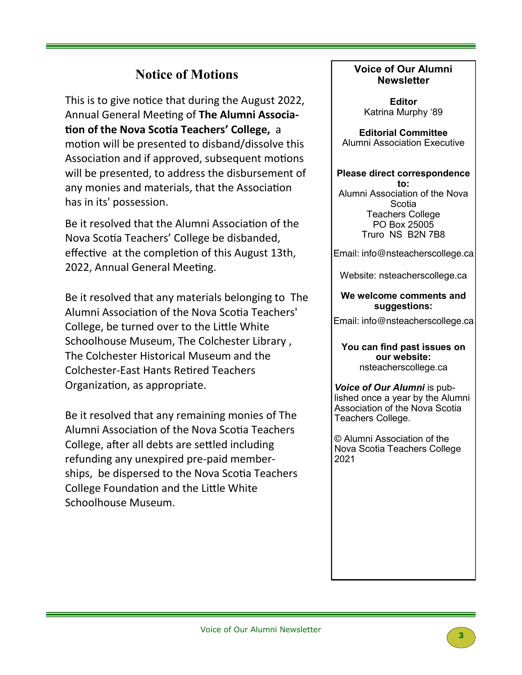# **Notice of Motions**

This is to give notice that during the August 2022, Annual General Meeting of **The Alumni Association of the Nova Scotia Teachers' College,** a motion will be presented to disband/dissolve this Association and if approved, subsequent motions will be presented, to address the disbursement of any monies and materials, that the Association has in its' possession.

Be it resolved that the Alumni Association of the Nova Scotia Teachers' College be disbanded, effective at the completion of this August 13th, 2022, Annual General Meeting.

Be it resolved that any materials belonging to The Alumni Association of the Nova Scotia Teachers' College, be turned over to the Little White Schoolhouse Museum, The Colchester Library , The Colchester Historical Museum and the Colchester-East Hants Retired Teachers Organization, as appropriate.

Be it resolved that any remaining monies of The Alumni Association of the Nova Scotia Teachers College, after all debts are settled including refunding any unexpired pre-paid memberships, be dispersed to the Nova Scotia Teachers College Foundation and the Little White Schoolhouse Museum.

## **Voice of Our Alumni Newsletter**

**Editor** Katrina Murphy '89

**Editorial Committee**  Alumni Association Executive

**Please direct correspondence to:** Alumni Association of the Nova **Scotia** Teachers College PO Box 25005 Truro NS B2N 7B8

Email: info@nsteacherscollege.ca

Website: nsteacherscollege.ca

### **We welcome comments and suggestions:**

Email: info@nsteacherscollege.ca

**You can find past issues on our website:**  nsteacherscollege.ca

*Voice of Our Alumni* is published once a year by the Alumni Association of the Nova Scotia Teachers College.

© Alumni Association of the Nova Scotia Teachers College 2021